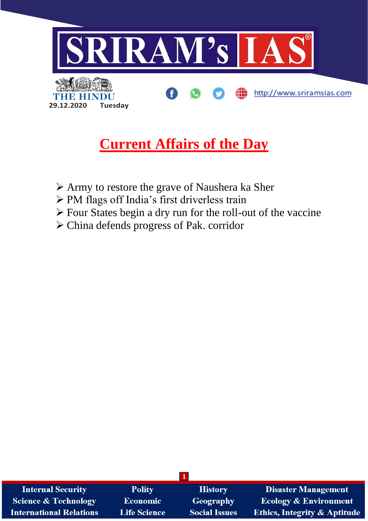

# **Current Affairs of the Day**

- ➢ Army to restore the grave of Naushera ka Sher
- ➢ PM flags off India's first driverless train
- ➢ Four States begin a dry run for the roll-out of the vaccine
- ➢ China defends progress of Pak. corridor

| <b>Internal Security</b>       | <b>Polity</b>       | <b>History</b>       | <b>Disaster Management</b>              |
|--------------------------------|---------------------|----------------------|-----------------------------------------|
| Science & Technology           | <b>Economic</b>     | Geography            | <b>Ecology &amp; Environment</b>        |
| <b>International Relations</b> | <b>Life Science</b> | <b>Social Issues</b> | <b>Ethics, Integrity &amp; Aptitude</b> |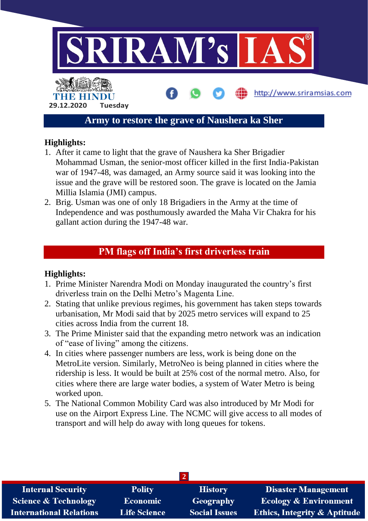

## **Highlights:**

- 1. After it came to light that the grave of Naushera ka Sher Brigadier Mohammad Usman, the senior-most officer killed in the first India-Pakistan war of 1947-48, was damaged, an Army source said it was looking into the issue and the grave will be restored soon. The grave is located on the Jamia Millia Islamia (JMI) campus.
- 2. Brig. Usman was one of only 18 Brigadiers in the Army at the time of Independence and was posthumously awarded the Maha Vir Chakra for his gallant action during the 1947-48 war.

# **PM flags off India's first driverless train**

## **Highlights:**

- 1. Prime Minister Narendra Modi on Monday inaugurated the country's first driverless train on the Delhi Metro's Magenta Line.
- 2. Stating that unlike previous regimes, his government has taken steps towards urbanisation, Mr Modi said that by 2025 metro services will expand to 25 cities across India from the current 18.
- 3. The Prime Minister said that the expanding metro network was an indication of "ease of living" among the citizens.
- 4. In cities where passenger numbers are less, work is being done on the MetroLite version. Similarly, MetroNeo is being planned in cities where the ridership is less. It would be built at 25% cost of the normal metro. Also, for cities where there are large water bodies, a system of Water Metro is being worked upon.
- 5. The National Common Mobility Card was also introduced by Mr Modi for use on the Airport Express Line. The NCMC will give access to all modes of transport and will help do away with long queues for tokens.

| <b>Internal Security</b>        | <b>Polity</b>       | <b>History</b>       | <b>Disaster Management</b>              |  |  |  |
|---------------------------------|---------------------|----------------------|-----------------------------------------|--|--|--|
| <b>Science &amp; Technology</b> | <b>Economic</b>     | Geography            | <b>Ecology &amp; Environment</b>        |  |  |  |
| <b>International Relations</b>  | <b>Life Science</b> | <b>Social Issues</b> | <b>Ethics, Integrity &amp; Aptitude</b> |  |  |  |